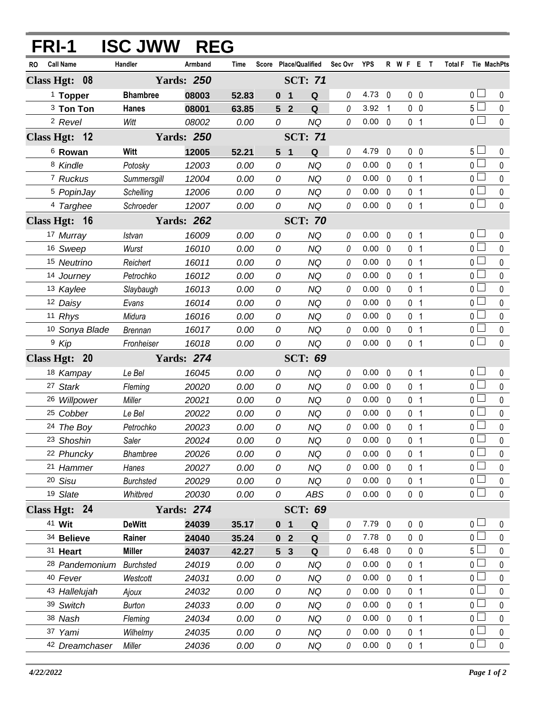| FRI-1 |                           | <b>ISC JWW</b>   | <b>REG</b>        |       |                                  |                |         |                |              |                |                |                |                     |
|-------|---------------------------|------------------|-------------------|-------|----------------------------------|----------------|---------|----------------|--------------|----------------|----------------|----------------|---------------------|
| RO    | <b>Call Name</b>          | Handler          | Armband           | Time  | Score Place/Qualified            |                | Sec Ovr | <b>YPS</b>     |              | R W F E T      |                |                | Total F Tie MachPts |
|       | Class Hgt: 08             |                  | <b>Yards: 250</b> |       |                                  | <b>SCT: 71</b> |         |                |              |                |                |                |                     |
|       | <sup>1</sup> Topper       | <b>Bhambree</b>  | 08003             | 52.83 | $\mathbf{0}$<br>1                | Q              | 0       | 4.73           | $\mathbf 0$  | $0\quad 0$     |                | 0 <sub>0</sub> | 0                   |
|       | <sup>3</sup> Ton Ton      | Hanes            | 08001             | 63.85 | $\overline{2}$<br>5 <sup>5</sup> | Q              | 0       | 3.92           | 1            | 0 <sub>0</sub> |                | 5 <sub>1</sub> | 0                   |
|       | <sup>2</sup> Revel        | Witt             | 08002             | 0.00  | 0                                | <b>NQ</b>      | 0       | $0.00 \quad 0$ |              | 0 <sub>1</sub> |                | 0 <sub>l</sub> | $\mathbf 0$         |
|       | Class Hgt: 12             |                  | <b>Yards: 250</b> |       |                                  | <b>SCT: 71</b> |         |                |              |                |                |                |                     |
|       | <sup>6</sup> Rowan        | Witt             | 12005             | 52.21 | 5 <sub>1</sub>                   | Q              | 0       | 4.79           | 0            | 0 <sub>0</sub> |                | $5+$           | 0                   |
|       | 8 Kindle                  | Potosky          | 12003             | 0.00  | 0                                | <b>NQ</b>      | 0       | 0.00           | $\mathbf{0}$ | 0 <sub>1</sub> |                | $\overline{0}$ | $\mathbf 0$         |
|       | 7 Ruckus                  | Summersgill      | 12004             | 0.00  | 0                                | <b>NQ</b>      | 0       | 0.00           | $\mathbf{0}$ | 0 <sub>1</sub> |                | 0 L            | 0                   |
|       | <sup>5</sup> PopinJay     | Schelling        | 12006             | 0.00  | 0                                | <b>NQ</b>      | 0       | 0.00           | $\Omega$     | 0 <sub>1</sub> |                | 0 <sub>0</sub> | $\pmb{0}$           |
|       | 4 Targhee                 | Schroeder        | 12007             | 0.00  | 0                                | <b>NQ</b>      | 0       | $0.00 \quad 0$ |              | 0 <sub>1</sub> |                | $\overline{0}$ | 0                   |
|       | Class Hgt: 16             |                  | <b>Yards: 262</b> |       |                                  | <b>SCT: 70</b> |         |                |              |                |                |                |                     |
|       | 17 Murray                 | Istvan           | 16009             | 0.00  | 0                                | <b>NQ</b>      | 0       | 0.00           | 0            | 0 <sub>1</sub> |                | 0 <sub>0</sub> | $\mathbf 0$         |
|       | 16 Sweep                  | Wurst            | 16010             | 0.00  | 0                                | NQ             | 0       | 0.00           | 0            | 0 <sub>1</sub> |                | 0 <sub>0</sub> | 0                   |
|       | 15 Neutrino               | Reichert         | 16011             | 0.00  | 0                                | NQ             | 0       | 0.00           | $\mathbf{0}$ | 0 <sub>1</sub> |                | 0 <sub>0</sub> | 0                   |
|       | 14 Journey                | Petrochko        | 16012             | 0.00  | 0                                | NQ             | 0       | 0.00           | $\mathbf{0}$ | 0 <sub>1</sub> |                | 0 L            | 0                   |
|       | 13 Kaylee                 | Slaybaugh        | 16013             | 0.00  | 0                                | NQ             | 0       | 0.00           | $\mathbf{0}$ | 0 <sub>1</sub> |                | 0 <sup>1</sup> | 0                   |
|       | 12 Daisy                  | Evans            | 16014             | 0.00  | 0                                | NQ             | 0       | 0.00           | $\mathbf{0}$ | 0 <sub>1</sub> |                | 0 <sub>l</sub> | 0                   |
|       | 11 Rhys                   | Midura           | 16016             | 0.00  | 0                                | NQ             | 0       | 0.00           | $\mathbf{0}$ | 0 <sub>1</sub> |                | 0 <sup>1</sup> | 0                   |
|       | <sup>10</sup> Sonya Blade | <b>Brennan</b>   | 16017             | 0.00  | 0                                | <b>NQ</b>      | 0       | 0.00           | $\mathbf{0}$ | 0              | $\overline{1}$ | 0 <sub>0</sub> | 0                   |
|       | <sup>9</sup> Kip          | Fronheiser       | 16018             | 0.00  | 0                                | <b>NQ</b>      | 0       | $0.00 \quad 0$ |              | 0 <sub>1</sub> |                | $\overline{0}$ | $\mathbf{0}$        |
|       | Class Hgt: 20             |                  | <b>Yards: 274</b> |       |                                  | <b>SCT: 69</b> |         |                |              |                |                |                |                     |
|       | 18 Kampay                 | Le Bel           | 16045             | 0.00  | 0                                | <b>NQ</b>      | 0       | 0.00           | 0            | 0 <sub>1</sub> |                | 0 <sub>0</sub> | 0                   |
|       | 27 Stark                  | Fleming          | 20020             | 0.00  | 0                                | <b>NQ</b>      | 0       | 0.00           | $\mathbf{0}$ | 0 <sub>1</sub> |                | $0-$           | 0                   |
|       | 26 Willpower              | Miller           | 20021             | 0.00  | 0                                | NQ             | 0       | 0.00           | $\Omega$     | 0              | $\overline{1}$ | 0 <sub>l</sub> | 0                   |
|       | <sup>25</sup> Cobber      | Le Bel           | 20022             | 0.00  | 0                                | <b>NQ</b>      | 0       | 0.00           | $\Omega$     | 0 <sub>1</sub> |                | $0-$           | 0                   |
|       | 24 The Boy                | Petrochko        | 20023             | 0.00  | 0                                | <b>NQ</b>      | 0       | 0.00           | $\mathbf 0$  | 0              | $\overline{1}$ | 0 <sub>0</sub> | $\pmb{0}$           |
|       | 23 Shoshin                | Saler            | 20024             | 0.00  | 0                                | <b>NQ</b>      | 0       | $0.00 \quad 0$ |              | 0 <sub>1</sub> |                | $\overline{0}$ | $\pmb{0}$           |
|       | 22 Phuncky                | <b>Bhambree</b>  | 20026             | 0.00  | 0                                | NQ             | 0       | 0.00           | 0            | 0 <sub>1</sub> |                | 0 <sub>l</sub> | 0                   |
|       | 21 Hammer                 | Hanes            | 20027             | 0.00  | 0                                | <b>NQ</b>      | 0       | 0.00           | $\mathbf 0$  | 0 <sub>1</sub> |                | $0\perp$       | 0                   |
|       | 20 Sisu                   | <b>Burchsted</b> | 20029             | 0.00  | 0                                | NQ             | 0       | 0.00           | $\Omega$     | 0 <sub>1</sub> |                | 0 L            | 0                   |
|       | 19 Slate                  | Whitbred         | 20030             | 0.00  | 0                                | ABS            | 0       | $0.00 \quad 0$ |              | $0\quad 0$     |                | 0 <sup>1</sup> | 0                   |
|       | Class Hgt: 24             |                  | <b>Yards: 274</b> |       |                                  | <b>SCT: 69</b> |         |                |              |                |                |                |                     |
|       | 41 Wit                    | <b>DeWitt</b>    | 24039             | 35.17 | 0 <sub>1</sub>                   | Q              | 0       | $7.79$ 0       |              | $0\quad 0$     |                | 0 <sub>0</sub> | 0                   |
|       | 34 Believe                | Rainer           | 24040             | 35.24 | 0 <sub>2</sub>                   | Q              | 0       | $7.78$ 0       |              | 0 <sub>0</sub> |                | $0-$           | $\mathbf{0}$        |
|       | 31 Heart                  | <b>Miller</b>    | 24037             | 42.27 | $5 -$<br>$\mathbf{3}$            | Q              | 0       | 6.48           | 0            | $0\quad 0$     |                | 5 <sup>L</sup> | 0                   |
|       | <sup>28</sup> Pandemonium | <b>Burchsted</b> | 24019             | 0.00  | 0                                | <b>NQ</b>      | 0       | 0.00           | $\mathbf{0}$ | 0 <sub>1</sub> |                | 0 <sub>l</sub> | 0                   |
|       | 40 Fever                  | Westcott         | 24031             | 0.00  | 0                                | <b>NQ</b>      | 0       | 0.00           | $\Omega$     | 0 <sub>1</sub> |                | 0 <sub>l</sub> | 0                   |
|       | 43 Hallelujah             | Ajoux            | 24032             | 0.00  | 0                                | <b>NQ</b>      | 0       | 0.00           | $\mathbf 0$  | 0 <sub>1</sub> |                | 0 <sub>0</sub> | 0                   |
|       | 39 Switch                 | <b>Burton</b>    | 24033             | 0.00  | 0                                | NQ             | 0       | 0.00           | $\Omega$     | 0 <sub>1</sub> |                | 0 <sub>0</sub> | 0                   |
|       | 38 Nash                   | Fleming          | 24034             | 0.00  | 0                                | <b>NQ</b>      | 0       | 0.00           | $\mathbf 0$  | 0 <sub>1</sub> |                | 0 <sup>L</sup> | 0                   |
|       | 37 Yami                   | Wilhelmy         | 24035             | 0.00  | 0                                | NQ             | 0       | 0.00           | $\Omega$     | 0 <sub>1</sub> |                | 0 L            | 0                   |
|       | 42 Dreamchaser            | Miller           | 24036             | 0.00  | 0                                | NQ             | 0       | $0.00 \quad 0$ |              | 0 <sub>1</sub> |                | 0 <sub>1</sub> | 0                   |